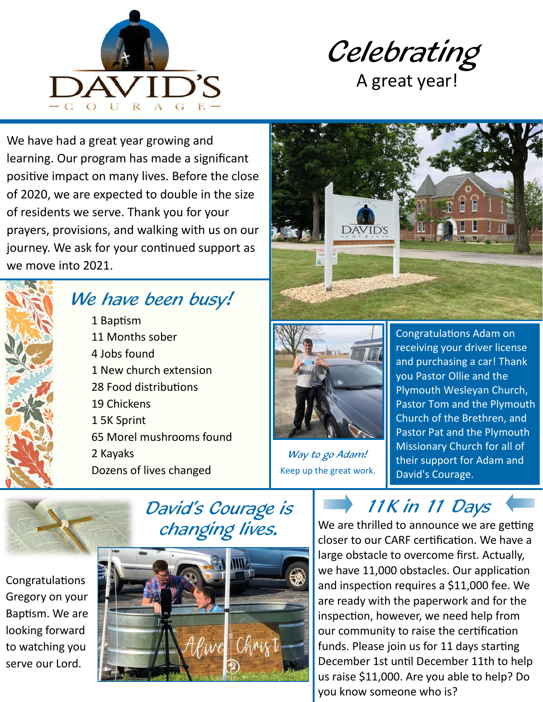



We have had a great year growing and learning. Our program has made a significant positive impact on many lives. Before the close of 2020, we are expected to double in the size of residents we serve. Thank you for your prayers, provisions, and walking with us on our journey. We ask for your continued support as we move into 2021.



## We have been busy!

1 Baptism 11 Months sober 4 Jobs found 1 New church extension 28 Food distributions 19 Chickens 1 5K Sprint 65 Morel mushrooms found 2 Kayaks Dozens of lives changed





Way to go Adam! Keep up the great work.

Congratulations Adam on receiving your driver license and purchasing a car! Thank you Pastor Ollie and the Plymouth Wesleyan Church, Pastor Tom and the Plymouth Church of the Brethren, and Pastor Pat and the Plymouth Missionary Church for all of their support for Adam and David's Courage.

Congratulations Gregory on your Baptism. We are looking forward to watching you serve our Lord.





11K in 11 Days

We are thrilled to announce we are getting closer to our CARF certification. We have a large obstacle to overcome first. Actually, we have 11,000 obstacles. Our application and inspection requires a \$11,000 fee. We are ready with the paperwork and for the inspection, however, we need help from our community to raise the certification funds. Please join us for 11 days starting December 1st until December 11th to help us raise \$11,000. Are you able to help? Do you know someone who is?